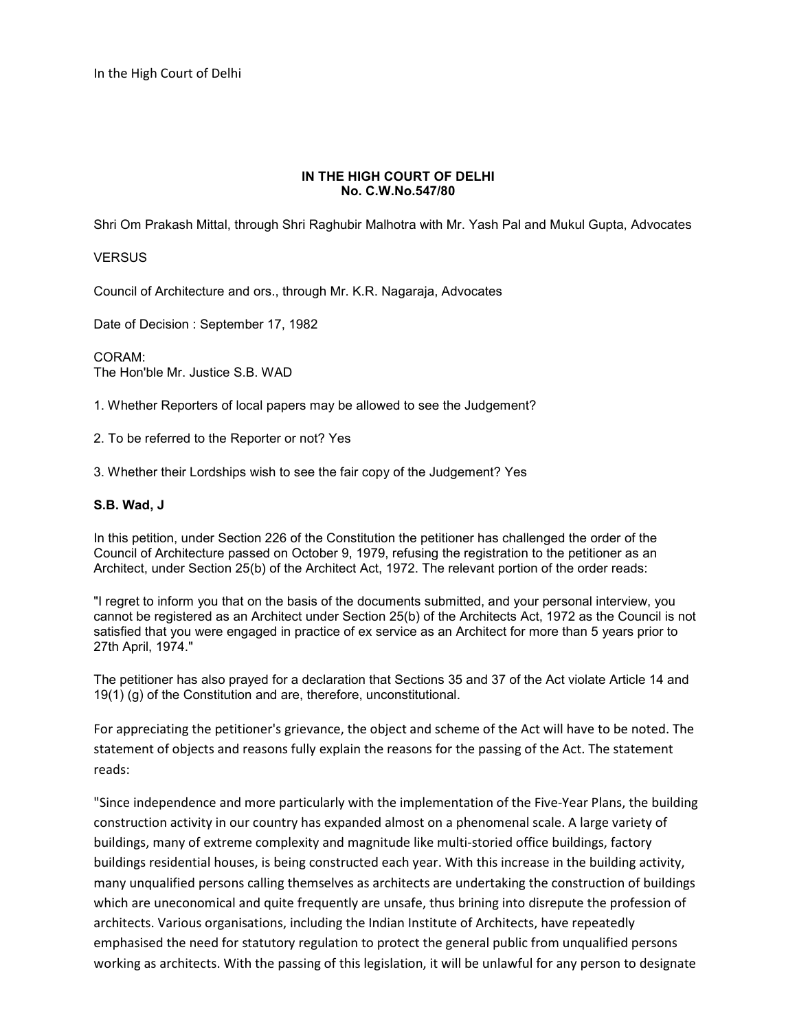In the High Court of Delhi

## **IN THE HIGH COURT OF DELHI No. C.W.No.547/80**

Shri Om Prakash Mittal, through Shri Raghubir Malhotra with Mr. Yash Pal and Mukul Gupta, Advocates

## **VERSUS**

Council of Architecture and ors., through Mr. K.R. Nagaraja, Advocates

Date of Decision : September 17, 1982

CORAM: The Hon'ble Mr. Justice S.B. WAD

1. Whether Reporters of local papers may be allowed to see the Judgement?

2. To be referred to the Reporter or not? Yes

3. Whether their Lordships wish to see the fair copy of the Judgement? Yes

## **S.B. Wad, J**

In this petition, under Section 226 of the Constitution the petitioner has challenged the order of the Council of Architecture passed on October 9, 1979, refusing the registration to the petitioner as an Architect, under Section 25(b) of the Architect Act, 1972. The relevant portion of the order reads:

"I regret to inform you that on the basis of the documents submitted, and your personal interview, you cannot be registered as an Architect under Section 25(b) of the Architects Act, 1972 as the Council is not satisfied that you were engaged in practice of ex service as an Architect for more than 5 years prior to 27th April, 1974."

The petitioner has also prayed for a declaration that Sections 35 and 37 of the Act violate Article 14 and 19(1) (g) of the Constitution and are, therefore, unconstitutional.

For appreciating the petitioner's grievance, the object and scheme of the Act will have to be noted. The statement of objects and reasons fully explain the reasons for the passing of the Act. The statement reads:

"Since independence and more particularly with the implementation of the Five-Year Plans, the building construction activity in our country has expanded almost on a phenomenal scale. A large variety of buildings, many of extreme complexity and magnitude like multi-storied office buildings, factory buildings residential houses, is being constructed each year. With this increase in the building activity, many unqualified persons calling themselves as architects are undertaking the construction of buildings which are uneconomical and quite frequently are unsafe, thus brining into disrepute the profession of architects. Various organisations, including the Indian Institute of Architects, have repeatedly emphasised the need for statutory regulation to protect the general public from unqualified persons working as architects. With the passing of this legislation, it will be unlawful for any person to designate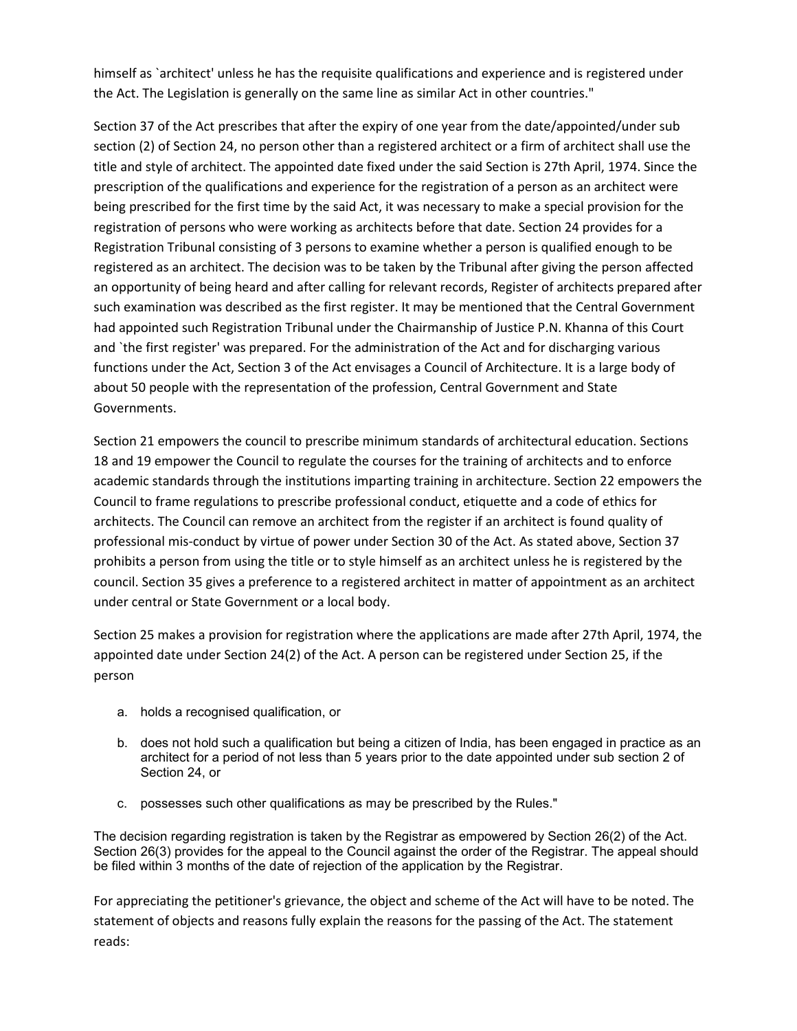himself as `architect' unless he has the requisite qualifications and experience and is registered under the Act. The Legislation is generally on the same line as similar Act in other countries."

Section 37 of the Act prescribes that after the expiry of one year from the date/appointed/under sub section (2) of Section 24, no person other than a registered architect or a firm of architect shall use the title and style of architect. The appointed date fixed under the said Section is 27th April, 1974. Since the prescription of the qualifications and experience for the registration of a person as an architect were being prescribed for the first time by the said Act, it was necessary to make a special provision for the registration of persons who were working as architects before that date. Section 24 provides for a Registration Tribunal consisting of 3 persons to examine whether a person is qualified enough to be registered as an architect. The decision was to be taken by the Tribunal after giving the person affected an opportunity of being heard and after calling for relevant records, Register of architects prepared after such examination was described as the first register. It may be mentioned that the Central Government had appointed such Registration Tribunal under the Chairmanship of Justice P.N. Khanna of this Court and `the first register' was prepared. For the administration of the Act and for discharging various functions under the Act, Section 3 of the Act envisages a Council of Architecture. It is a large body of about 50 people with the representation of the profession, Central Government and State Governments.

Section 21 empowers the council to prescribe minimum standards of architectural education. Sections 18 and 19 empower the Council to regulate the courses for the training of architects and to enforce academic standards through the institutions imparting training in architecture. Section 22 empowers the Council to frame regulations to prescribe professional conduct, etiquette and a code of ethics for architects. The Council can remove an architect from the register if an architect is found quality of professional mis-conduct by virtue of power under Section 30 of the Act. As stated above, Section 37 prohibits a person from using the title or to style himself as an architect unless he is registered by the council. Section 35 gives a preference to a registered architect in matter of appointment as an architect under central or State Government or a local body.

Section 25 makes a provision for registration where the applications are made after 27th April, 1974, the appointed date under Section 24(2) of the Act. A person can be registered under Section 25, if the person

- a. holds a recognised qualification, or
- b. does not hold such a qualification but being a citizen of India, has been engaged in practice as an architect for a period of not less than 5 years prior to the date appointed under sub section 2 of Section 24, or
- c. possesses such other qualifications as may be prescribed by the Rules."

The decision regarding registration is taken by the Registrar as empowered by Section 26(2) of the Act. Section 26(3) provides for the appeal to the Council against the order of the Registrar. The appeal should be filed within 3 months of the date of rejection of the application by the Registrar.

For appreciating the petitioner's grievance, the object and scheme of the Act will have to be noted. The statement of objects and reasons fully explain the reasons for the passing of the Act. The statement reads: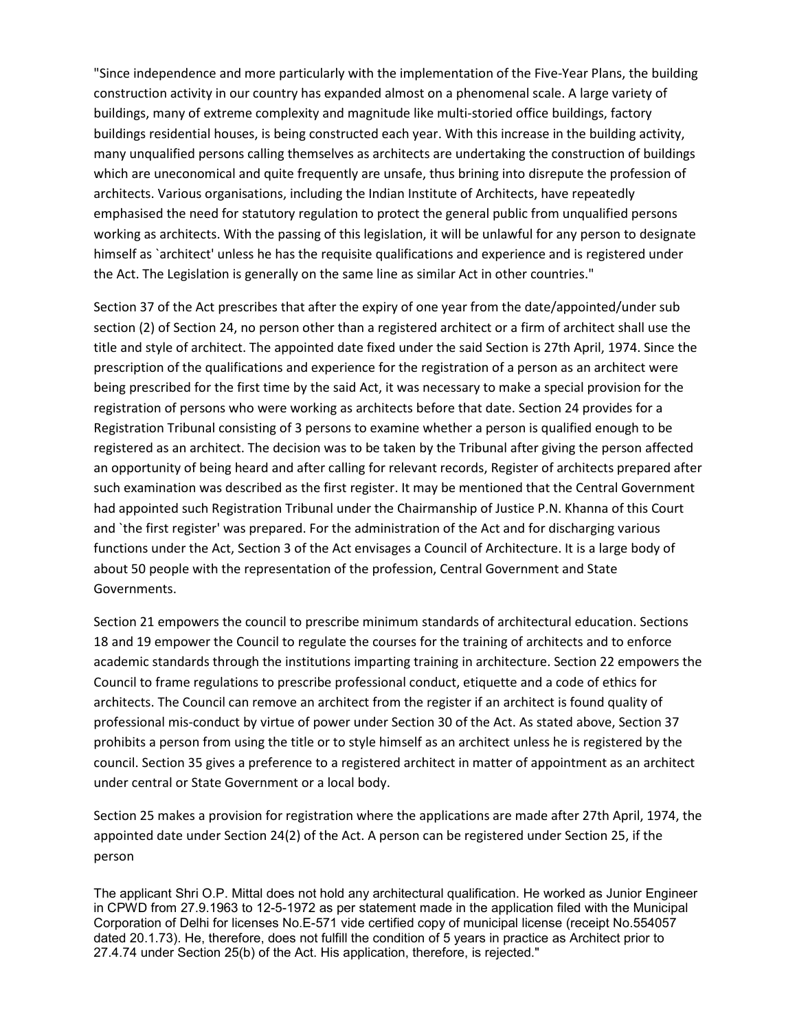"Since independence and more particularly with the implementation of the Five-Year Plans, the building construction activity in our country has expanded almost on a phenomenal scale. A large variety of buildings, many of extreme complexity and magnitude like multi-storied office buildings, factory buildings residential houses, is being constructed each year. With this increase in the building activity, many unqualified persons calling themselves as architects are undertaking the construction of buildings which are uneconomical and quite frequently are unsafe, thus brining into disrepute the profession of architects. Various organisations, including the Indian Institute of Architects, have repeatedly emphasised the need for statutory regulation to protect the general public from unqualified persons working as architects. With the passing of this legislation, it will be unlawful for any person to designate himself as `architect' unless he has the requisite qualifications and experience and is registered under the Act. The Legislation is generally on the same line as similar Act in other countries."

Section 37 of the Act prescribes that after the expiry of one year from the date/appointed/under sub section (2) of Section 24, no person other than a registered architect or a firm of architect shall use the title and style of architect. The appointed date fixed under the said Section is 27th April, 1974. Since the prescription of the qualifications and experience for the registration of a person as an architect were being prescribed for the first time by the said Act, it was necessary to make a special provision for the registration of persons who were working as architects before that date. Section 24 provides for a Registration Tribunal consisting of 3 persons to examine whether a person is qualified enough to be registered as an architect. The decision was to be taken by the Tribunal after giving the person affected an opportunity of being heard and after calling for relevant records, Register of architects prepared after such examination was described as the first register. It may be mentioned that the Central Government had appointed such Registration Tribunal under the Chairmanship of Justice P.N. Khanna of this Court and `the first register' was prepared. For the administration of the Act and for discharging various functions under the Act, Section 3 of the Act envisages a Council of Architecture. It is a large body of about 50 people with the representation of the profession, Central Government and State Governments.

Section 21 empowers the council to prescribe minimum standards of architectural education. Sections 18 and 19 empower the Council to regulate the courses for the training of architects and to enforce academic standards through the institutions imparting training in architecture. Section 22 empowers the Council to frame regulations to prescribe professional conduct, etiquette and a code of ethics for architects. The Council can remove an architect from the register if an architect is found quality of professional mis-conduct by virtue of power under Section 30 of the Act. As stated above, Section 37 prohibits a person from using the title or to style himself as an architect unless he is registered by the council. Section 35 gives a preference to a registered architect in matter of appointment as an architect under central or State Government or a local body.

Section 25 makes a provision for registration where the applications are made after 27th April, 1974, the appointed date under Section 24(2) of the Act. A person can be registered under Section 25, if the person

The applicant Shri O.P. Mittal does not hold any architectural qualification. He worked as Junior Engineer in CPWD from 27.9.1963 to 12-5-1972 as per statement made in the application filed with the Municipal Corporation of Delhi for licenses No.E-571 vide certified copy of municipal license (receipt No.554057 dated 20.1.73). He, therefore, does not fulfill the condition of 5 years in practice as Architect prior to 27.4.74 under Section 25(b) of the Act. His application, therefore, is rejected."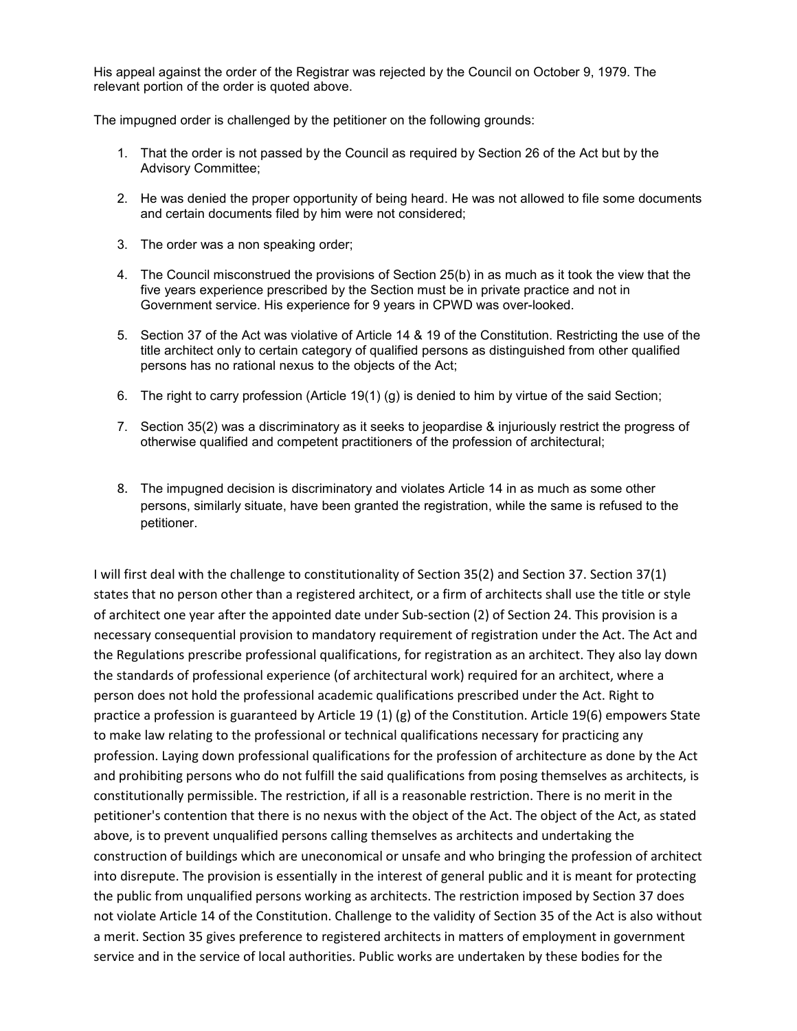His appeal against the order of the Registrar was rejected by the Council on October 9, 1979. The relevant portion of the order is quoted above.

The impugned order is challenged by the petitioner on the following grounds:

- 1. That the order is not passed by the Council as required by Section 26 of the Act but by the Advisory Committee;
- 2. He was denied the proper opportunity of being heard. He was not allowed to file some documents and certain documents filed by him were not considered;
- 3. The order was a non speaking order;
- 4. The Council misconstrued the provisions of Section 25(b) in as much as it took the view that the five years experience prescribed by the Section must be in private practice and not in Government service. His experience for 9 years in CPWD was over-looked.
- 5. Section 37 of the Act was violative of Article 14 & 19 of the Constitution. Restricting the use of the title architect only to certain category of qualified persons as distinguished from other qualified persons has no rational nexus to the objects of the Act;
- 6. The right to carry profession (Article 19(1) (g) is denied to him by virtue of the said Section;
- 7. Section 35(2) was a discriminatory as it seeks to jeopardise & injuriously restrict the progress of otherwise qualified and competent practitioners of the profession of architectural;
- 8. The impugned decision is discriminatory and violates Article 14 in as much as some other persons, similarly situate, have been granted the registration, while the same is refused to the petitioner.

I will first deal with the challenge to constitutionality of Section 35(2) and Section 37. Section 37(1) states that no person other than a registered architect, or a firm of architects shall use the title or style of architect one year after the appointed date under Sub-section (2) of Section 24. This provision is a necessary consequential provision to mandatory requirement of registration under the Act. The Act and the Regulations prescribe professional qualifications, for registration as an architect. They also lay down the standards of professional experience (of architectural work) required for an architect, where a person does not hold the professional academic qualifications prescribed under the Act. Right to practice a profession is guaranteed by Article 19 (1) (g) of the Constitution. Article 19(6) empowers State to make law relating to the professional or technical qualifications necessary for practicing any profession. Laying down professional qualifications for the profession of architecture as done by the Act and prohibiting persons who do not fulfill the said qualifications from posing themselves as architects, is constitutionally permissible. The restriction, if all is a reasonable restriction. There is no merit in the petitioner's contention that there is no nexus with the object of the Act. The object of the Act, as stated above, is to prevent unqualified persons calling themselves as architects and undertaking the construction of buildings which are uneconomical or unsafe and who bringing the profession of architect into disrepute. The provision is essentially in the interest of general public and it is meant for protecting the public from unqualified persons working as architects. The restriction imposed by Section 37 does not violate Article 14 of the Constitution. Challenge to the validity of Section 35 of the Act is also without a merit. Section 35 gives preference to registered architects in matters of employment in government service and in the service of local authorities. Public works are undertaken by these bodies for the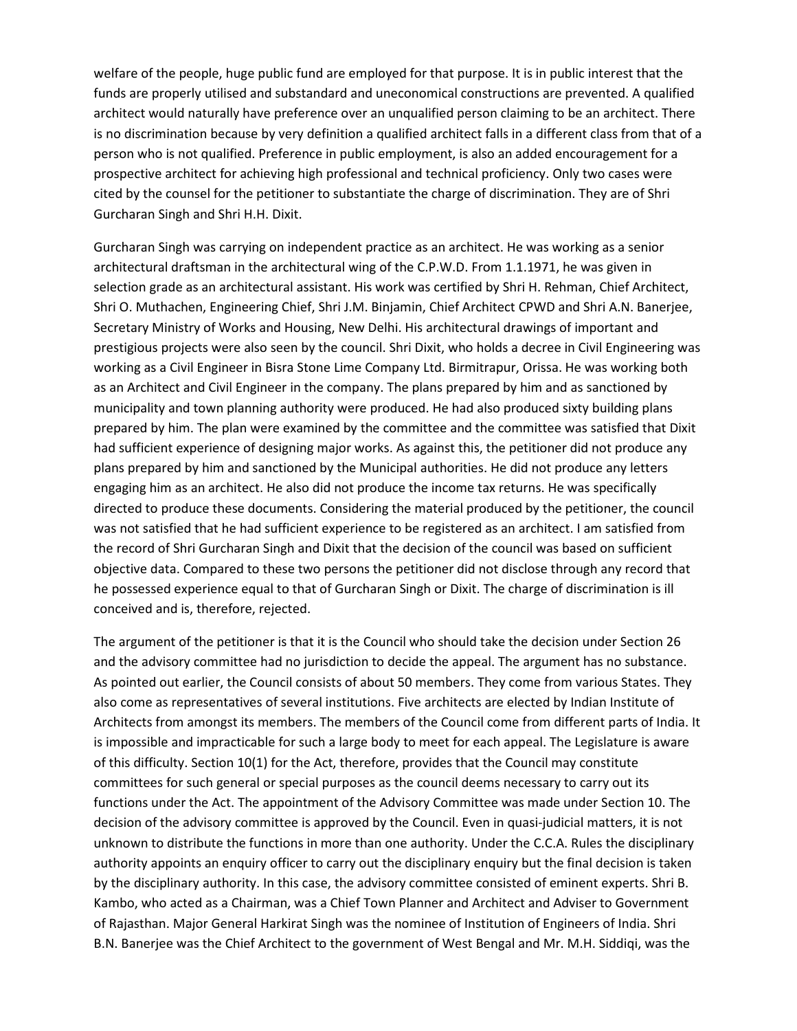welfare of the people, huge public fund are employed for that purpose. It is in public interest that the funds are properly utilised and substandard and uneconomical constructions are prevented. A qualified architect would naturally have preference over an unqualified person claiming to be an architect. There is no discrimination because by very definition a qualified architect falls in a different class from that of a person who is not qualified. Preference in public employment, is also an added encouragement for a prospective architect for achieving high professional and technical proficiency. Only two cases were cited by the counsel for the petitioner to substantiate the charge of discrimination. They are of Shri Gurcharan Singh and Shri H.H. Dixit.

Gurcharan Singh was carrying on independent practice as an architect. He was working as a senior architectural draftsman in the architectural wing of the C.P.W.D. From 1.1.1971, he was given in selection grade as an architectural assistant. His work was certified by Shri H. Rehman, Chief Architect, Shri O. Muthachen, Engineering Chief, Shri J.M. Binjamin, Chief Architect CPWD and Shri A.N. Banerjee, Secretary Ministry of Works and Housing, New Delhi. His architectural drawings of important and prestigious projects were also seen by the council. Shri Dixit, who holds a decree in Civil Engineering was working as a Civil Engineer in Bisra Stone Lime Company Ltd. Birmitrapur, Orissa. He was working both as an Architect and Civil Engineer in the company. The plans prepared by him and as sanctioned by municipality and town planning authority were produced. He had also produced sixty building plans prepared by him. The plan were examined by the committee and the committee was satisfied that Dixit had sufficient experience of designing major works. As against this, the petitioner did not produce any plans prepared by him and sanctioned by the Municipal authorities. He did not produce any letters engaging him as an architect. He also did not produce the income tax returns. He was specifically directed to produce these documents. Considering the material produced by the petitioner, the council was not satisfied that he had sufficient experience to be registered as an architect. I am satisfied from the record of Shri Gurcharan Singh and Dixit that the decision of the council was based on sufficient objective data. Compared to these two persons the petitioner did not disclose through any record that he possessed experience equal to that of Gurcharan Singh or Dixit. The charge of discrimination is ill conceived and is, therefore, rejected.

The argument of the petitioner is that it is the Council who should take the decision under Section 26 and the advisory committee had no jurisdiction to decide the appeal. The argument has no substance. As pointed out earlier, the Council consists of about 50 members. They come from various States. They also come as representatives of several institutions. Five architects are elected by Indian Institute of Architects from amongst its members. The members of the Council come from different parts of India. It is impossible and impracticable for such a large body to meet for each appeal. The Legislature is aware of this difficulty. Section 10(1) for the Act, therefore, provides that the Council may constitute committees for such general or special purposes as the council deems necessary to carry out its functions under the Act. The appointment of the Advisory Committee was made under Section 10. The decision of the advisory committee is approved by the Council. Even in quasi-judicial matters, it is not unknown to distribute the functions in more than one authority. Under the C.C.A. Rules the disciplinary authority appoints an enquiry officer to carry out the disciplinary enquiry but the final decision is taken by the disciplinary authority. In this case, the advisory committee consisted of eminent experts. Shri B. Kambo, who acted as a Chairman, was a Chief Town Planner and Architect and Adviser to Government of Rajasthan. Major General Harkirat Singh was the nominee of Institution of Engineers of India. Shri B.N. Banerjee was the Chief Architect to the government of West Bengal and Mr. M.H. Siddiqi, was the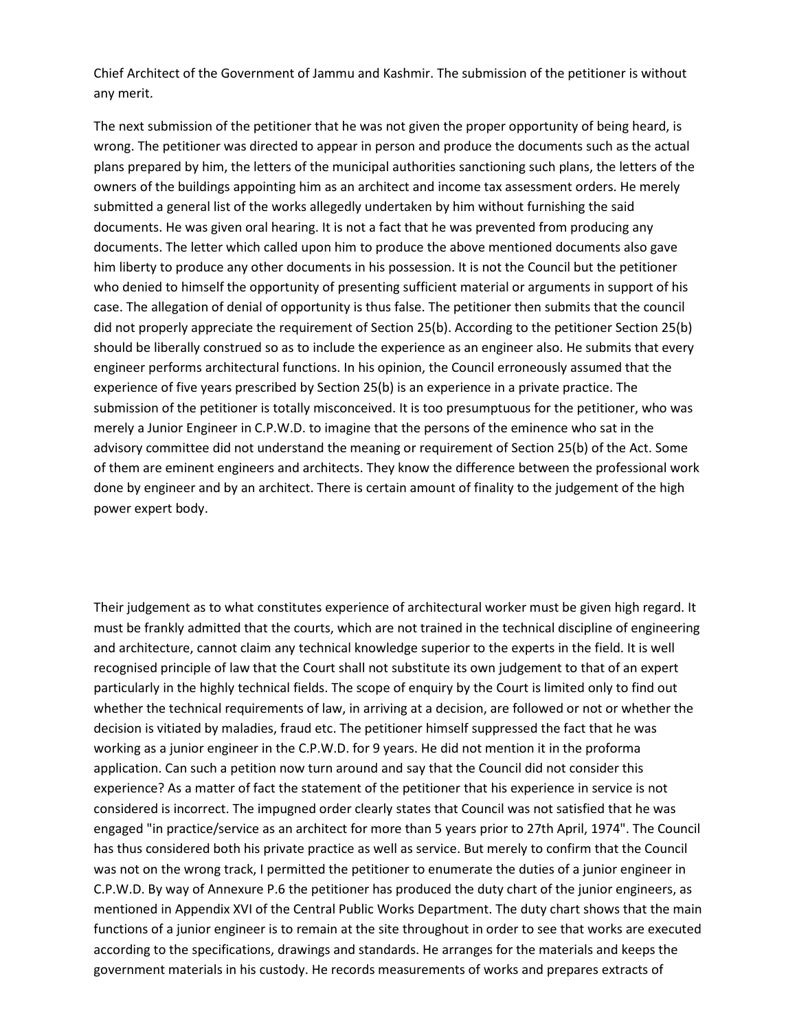Chief Architect of the Government of Jammu and Kashmir. The submission of the petitioner is without any merit.

The next submission of the petitioner that he was not given the proper opportunity of being heard, is wrong. The petitioner was directed to appear in person and produce the documents such as the actual plans prepared by him, the letters of the municipal authorities sanctioning such plans, the letters of the owners of the buildings appointing him as an architect and income tax assessment orders. He merely submitted a general list of the works allegedly undertaken by him without furnishing the said documents. He was given oral hearing. It is not a fact that he was prevented from producing any documents. The letter which called upon him to produce the above mentioned documents also gave him liberty to produce any other documents in his possession. It is not the Council but the petitioner who denied to himself the opportunity of presenting sufficient material or arguments in support of his case. The allegation of denial of opportunity is thus false. The petitioner then submits that the council did not properly appreciate the requirement of Section 25(b). According to the petitioner Section 25(b) should be liberally construed so as to include the experience as an engineer also. He submits that every engineer performs architectural functions. In his opinion, the Council erroneously assumed that the experience of five years prescribed by Section 25(b) is an experience in a private practice. The submission of the petitioner is totally misconceived. It is too presumptuous for the petitioner, who was merely a Junior Engineer in C.P.W.D. to imagine that the persons of the eminence who sat in the advisory committee did not understand the meaning or requirement of Section 25(b) of the Act. Some of them are eminent engineers and architects. They know the difference between the professional work done by engineer and by an architect. There is certain amount of finality to the judgement of the high power expert body.

Their judgement as to what constitutes experience of architectural worker must be given high regard. It must be frankly admitted that the courts, which are not trained in the technical discipline of engineering and architecture, cannot claim any technical knowledge superior to the experts in the field. It is well recognised principle of law that the Court shall not substitute its own judgement to that of an expert particularly in the highly technical fields. The scope of enquiry by the Court is limited only to find out whether the technical requirements of law, in arriving at a decision, are followed or not or whether the decision is vitiated by maladies, fraud etc. The petitioner himself suppressed the fact that he was working as a junior engineer in the C.P.W.D. for 9 years. He did not mention it in the proforma application. Can such a petition now turn around and say that the Council did not consider this experience? As a matter of fact the statement of the petitioner that his experience in service is not considered is incorrect. The impugned order clearly states that Council was not satisfied that he was engaged "in practice/service as an architect for more than 5 years prior to 27th April, 1974". The Council has thus considered both his private practice as well as service. But merely to confirm that the Council was not on the wrong track, I permitted the petitioner to enumerate the duties of a junior engineer in C.P.W.D. By way of Annexure P.6 the petitioner has produced the duty chart of the junior engineers, as mentioned in Appendix XVI of the Central Public Works Department. The duty chart shows that the main functions of a junior engineer is to remain at the site throughout in order to see that works are executed according to the specifications, drawings and standards. He arranges for the materials and keeps the government materials in his custody. He records measurements of works and prepares extracts of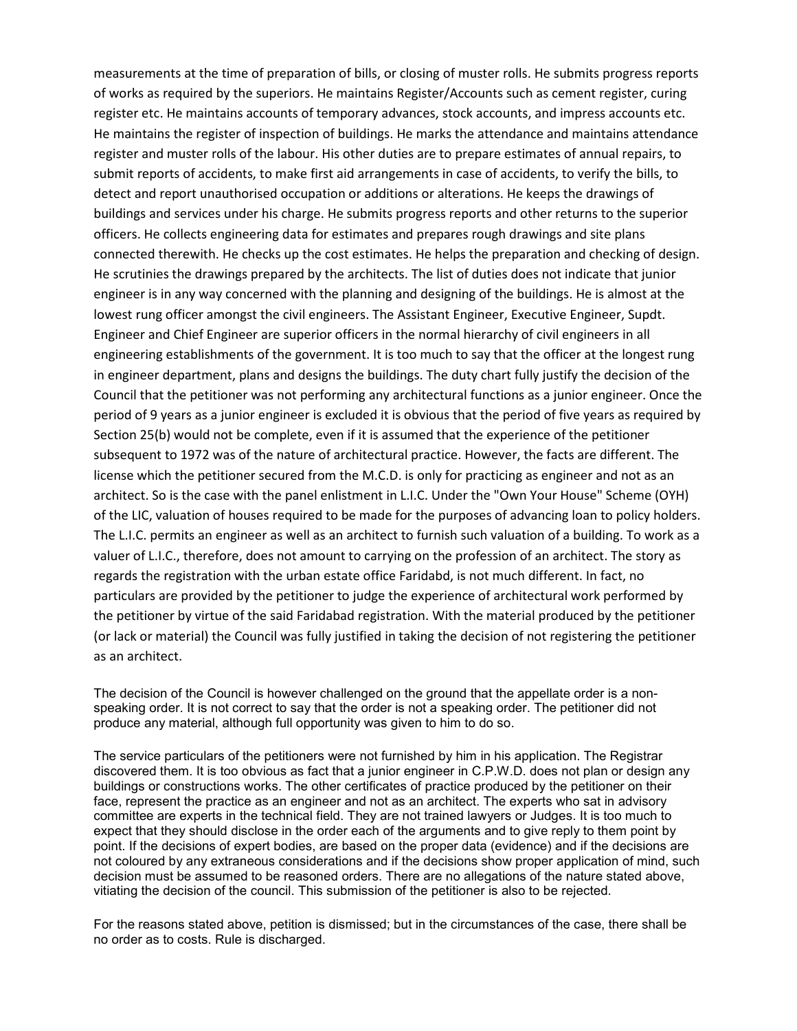measurements at the time of preparation of bills, or closing of muster rolls. He submits progress reports of works as required by the superiors. He maintains Register/Accounts such as cement register, curing register etc. He maintains accounts of temporary advances, stock accounts, and impress accounts etc. He maintains the register of inspection of buildings. He marks the attendance and maintains attendance register and muster rolls of the labour. His other duties are to prepare estimates of annual repairs, to submit reports of accidents, to make first aid arrangements in case of accidents, to verify the bills, to detect and report unauthorised occupation or additions or alterations. He keeps the drawings of buildings and services under his charge. He submits progress reports and other returns to the superior officers. He collects engineering data for estimates and prepares rough drawings and site plans connected therewith. He checks up the cost estimates. He helps the preparation and checking of design. He scrutinies the drawings prepared by the architects. The list of duties does not indicate that junior engineer is in any way concerned with the planning and designing of the buildings. He is almost at the lowest rung officer amongst the civil engineers. The Assistant Engineer, Executive Engineer, Supdt. Engineer and Chief Engineer are superior officers in the normal hierarchy of civil engineers in all engineering establishments of the government. It is too much to say that the officer at the longest rung in engineer department, plans and designs the buildings. The duty chart fully justify the decision of the Council that the petitioner was not performing any architectural functions as a junior engineer. Once the period of 9 years as a junior engineer is excluded it is obvious that the period of five years as required by Section 25(b) would not be complete, even if it is assumed that the experience of the petitioner subsequent to 1972 was of the nature of architectural practice. However, the facts are different. The license which the petitioner secured from the M.C.D. is only for practicing as engineer and not as an architect. So is the case with the panel enlistment in L.I.C. Under the "Own Your House" Scheme (OYH) of the LIC, valuation of houses required to be made for the purposes of advancing loan to policy holders. The L.I.C. permits an engineer as well as an architect to furnish such valuation of a building. To work as a valuer of L.I.C., therefore, does not amount to carrying on the profession of an architect. The story as regards the registration with the urban estate office Faridabd, is not much different. In fact, no particulars are provided by the petitioner to judge the experience of architectural work performed by the petitioner by virtue of the said Faridabad registration. With the material produced by the petitioner (or lack or material) the Council was fully justified in taking the decision of not registering the petitioner as an architect.

The decision of the Council is however challenged on the ground that the appellate order is a nonspeaking order. It is not correct to say that the order is not a speaking order. The petitioner did not produce any material, although full opportunity was given to him to do so.

The service particulars of the petitioners were not furnished by him in his application. The Registrar discovered them. It is too obvious as fact that a junior engineer in C.P.W.D. does not plan or design any buildings or constructions works. The other certificates of practice produced by the petitioner on their face, represent the practice as an engineer and not as an architect. The experts who sat in advisory committee are experts in the technical field. They are not trained lawyers or Judges. It is too much to expect that they should disclose in the order each of the arguments and to give reply to them point by point. If the decisions of expert bodies, are based on the proper data (evidence) and if the decisions are not coloured by any extraneous considerations and if the decisions show proper application of mind, such decision must be assumed to be reasoned orders. There are no allegations of the nature stated above, vitiating the decision of the council. This submission of the petitioner is also to be rejected.

For the reasons stated above, petition is dismissed; but in the circumstances of the case, there shall be no order as to costs. Rule is discharged.